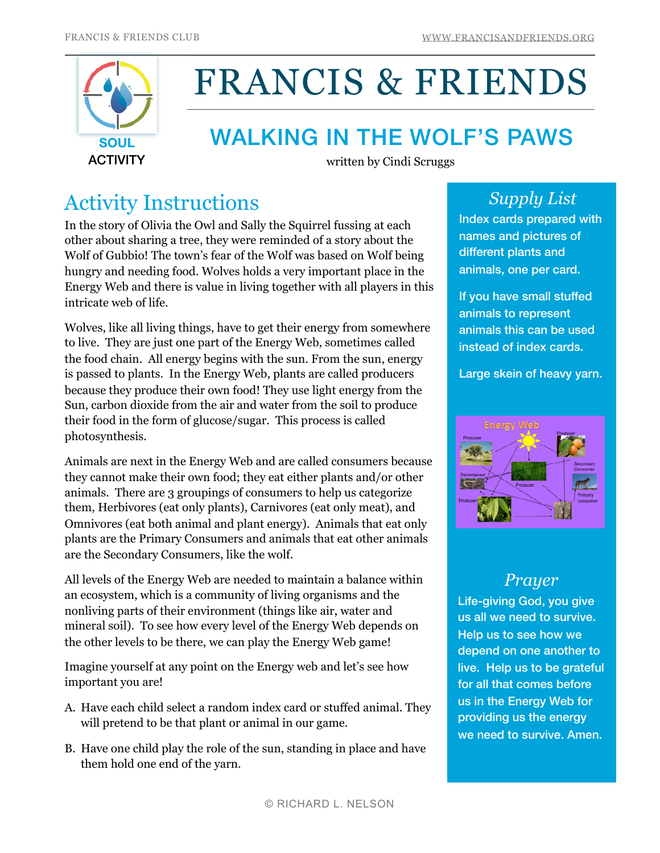

# FRANCIS & FRIENDS

# WALKING IN THE WOLF'S PAWS

written by Cindi Scruggs

## Activity Instructions

In the story of Olivia the Owl and Sally the Squirrel fussing at each other about sharing a tree, they were reminded of a story about the Wolf of Gubbio! The town's fear of the Wolf was based on Wolf being hungry and needing food. Wolves holds a very important place in the Energy Web and there is value in living together with all players in this intricate web of life.

Wolves, like all living things, have to get their energy from somewhere to live. They are just one part of the Energy Web, sometimes called the food chain. All energy begins with the sun. From the sun, energy is passed to plants. In the Energy Web, plants are called producers because they produce their own food! They use light energy from the Sun, carbon dioxide from the air and water from the soil to produce their food in the form of glucose/sugar. This process is called photosynthesis.

Animals are next in the Energy Web and are called consumers because they cannot make their own food; they eat either plants and/or other animals. There are 3 groupings of consumers to help us categorize them, Herbivores (eat only plants), Carnivores (eat only meat), and Omnivores (eat both animal and plant energy). Animals that eat only plants are the Primary Consumers and animals that eat other animals are the Secondary Consumers, like the wolf.

All levels of the Energy Web are needed to maintain a balance within an ecosystem, which is a community of living organisms and the nonliving parts of their environment (things like air, water and mineral soil). To see how every level of the Energy Web depends on the other levels to be there, we can play the Energy Web game!

Imagine yourself at any point on the Energy web and let's see how important you are!

- A. Have each child select a random index card or stuffed animal. They will pretend to be that plant or animal in our game.
- B. Have one child play the role of the sun, standing in place and have them hold one end of the yarn.

*Supply List* 

Index cards prepared with names and pictures of different plants and animals, one per card.

If you have small stuffed animals to represent animals this can be used instead of index cards.

Large skein of heavy yarn.



#### *Prayer*

Life-giving God, you give us all we need to survive. Help us to see how we depend on one another to live. Help us to be grateful for all that comes before us in the Energy Web for providing us the energy we need to survive. Amen.